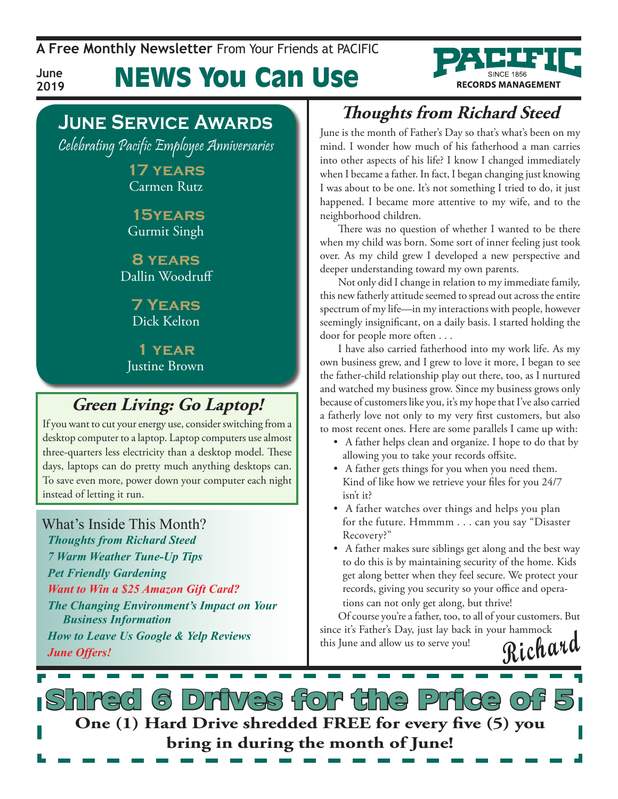**A Free Monthly Newsletter** From Your Friends at Pacific

**RECORDS MANAGEMENT** 

**June 2019** News You Can Use

# **June Service Awards**

Celebrating Pacific Employee Anniversaries

**17 years** Carmen Rutz

 **15years** Gurmit Singh

**8 years** Dallin Woodruff

> **7 Years** Dick Kelton

**1 year** Justine Brown

## **Green Living: Go Laptop!**

If you want to cut your energy use, consider switching from a desktop computer to a laptop. Laptop computers use almost three-quarters less electricity than a desktop model. These days, laptops can do pretty much anything desktops can. To save even more, power down your computer each night instead of letting it run.

### What's Inside This Month?

*Thoughts from Richard Steed 7 Warm Weather Tune-Up Tips Pet Friendly Gardening Want to Win a \$25 Amazon Gift Card? The Changing Environment's Impact on Your Business Information How to Leave Us Google & Yelp Reviews June Offers!*

## **Thoughts from Richard Steed**

June is the month of Father's Day so that's what's been on my mind. I wonder how much of his fatherhood a man carries into other aspects of his life? I know I changed immediately when I became a father. In fact, I began changing just knowing I was about to be one. It's not something I tried to do, it just happened. I became more attentive to my wife, and to the neighborhood children.

There was no question of whether I wanted to be there when my child was born. Some sort of inner feeling just took over. As my child grew I developed a new perspective and deeper understanding toward my own parents.

Not only did I change in relation to my immediate family, this new fatherly attitude seemed to spread out across the entire spectrum of my life—in my interactions with people, however seemingly insignificant, on a daily basis. I started holding the door for people more often . . .

I have also carried fatherhood into my work life. As my own business grew, and I grew to love it more, I began to see the father-child relationship play out there, too, as I nurtured and watched my business grow. Since my business grows only because of customers like you, it's my hope that I've also carried a fatherly love not only to my very first customers, but also to most recent ones. Here are some parallels I came up with:

- A father helps clean and organize. I hope to do that by allowing you to take your records offsite.
- A father gets things for you when you need them. Kind of like how we retrieve your files for you 24/7 isn't it?
- A father watches over things and helps you plan for the future. Hmmmm . . . can you say "Disaster Recovery?"
- A father makes sure siblings get along and the best way to do this is by maintaining security of the home. Kids get along better when they feel secure. We protect your records, giving you security so your office and operations can not only get along, but thrive!

**Richard** Of course you're a father, too, to all of your customers. But since it's Father's Day, just lay back in your hammock this June and allow us to serve you!

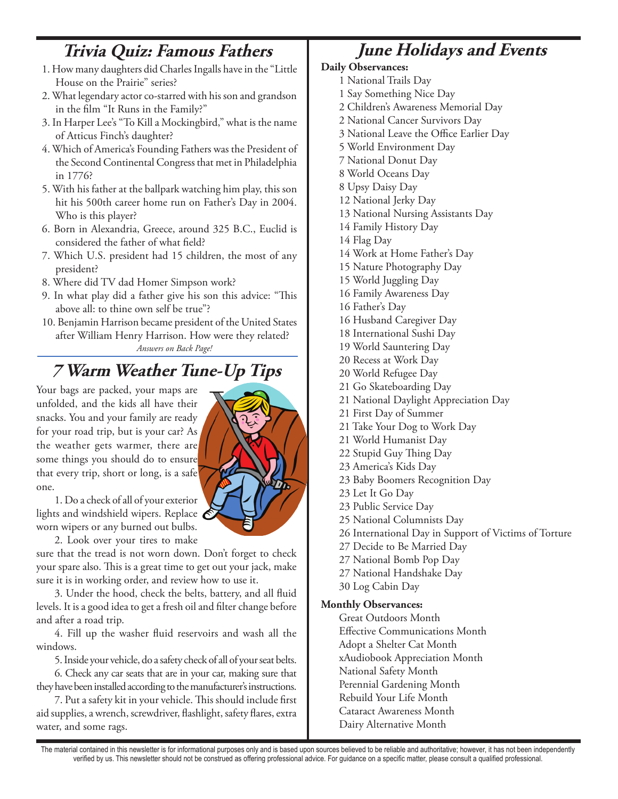## **Trivia Quiz: Famous Fathers**

- 1. How many daughters did Charles Ingalls have in the "Little House on the Prairie" series?
- 2. What legendary actor co-starred with his son and grandson in the film "It Runs in the Family?"
- 3. In Harper Lee's "To Kill a Mockingbird," what is the name of Atticus Finch's daughter?
- 4. Which of America's Founding Fathers was the President of the Second Continental Congress that met in Philadelphia in 1776?
- 5. With his father at the ballpark watching him play, this son hit his 500th career home run on Father's Day in 2004. Who is this player?
- 6. Born in Alexandria, Greece, around 325 B.C., Euclid is considered the father of what field?
- 7. Which U.S. president had 15 children, the most of any president?
- 8. Where did TV dad Homer Simpson work?
- 9. In what play did a father give his son this advice: "This above all: to thine own self be true"?
- *Answers on Back Page!* 10. Benjamin Harrison became president of the United States after William Henry Harrison. How were they related?

## **7 Warm Weather Tune-Up Tips**

Your bags are packed, your maps are unfolded, and the kids all have their snacks. You and your family are ready for your road trip, but is your car? As the weather gets warmer, there are some things you should do to ensure that every trip, short or long, is a safe one.

1. Do a check of all of your exterior lights and windshield wipers. Replace worn wipers or any burned out bulbs.

2. Look over your tires to make

sure that the tread is not worn down. Don't forget to check your spare also. This is a great time to get out your jack, make sure it is in working order, and review how to use it.

3. Under the hood, check the belts, battery, and all fluid levels. It is a good idea to get a fresh oil and filter change before and after a road trip.

4. Fill up the washer fluid reservoirs and wash all the windows.

5. Inside your vehicle, do a safety check of all of your seat belts.

6. Check any car seats that are in your car, making sure that they have been installed according to the manufacturer's instructions.

7. Put a safety kit in your vehicle. This should include first aid supplies, a wrench, screwdriver, flashlight, safety flares, extra water, and some rags.

# **June Holidays and Events**

#### **Daily Observances:**

- 1 National Trails Day
- 1 Say Something Nice Day
- 2 Children's Awareness Memorial Day
- 2 National Cancer Survivors Day
- 3 National Leave the Office Earlier Day
- 5 World Environment Day
- 7 National Donut Day
- 8 World Oceans Day
- 8 Upsy Daisy Day
- 12 National Jerky Day
- 13 National Nursing Assistants Day
- 14 Family History Day
- 14 Flag Day
- 14 Work at Home Father's Day
- 15 Nature Photography Day
- 15 World Juggling Day
- 16 Family Awareness Day
- 16 Father's Day
- 16 Husband Caregiver Day
- 18 International Sushi Day
- 19 World Sauntering Day
- 20 Recess at Work Day
- 20 World Refugee Day
- 21 Go Skateboarding Day
- 21 National Daylight Appreciation Day
- 21 First Day of Summer
- 21 Take Your Dog to Work Day
- 21 World Humanist Day
- 22 Stupid Guy Thing Day
- 23 America's Kids Day
- 23 Baby Boomers Recognition Day
- 23 Let It Go Day
- 23 Public Service Day
- 25 National Columnists Day
- 26 International Day in Support of Victims of Torture
- 27 Decide to Be Married Day
- 27 National Bomb Pop Day
- 27 National Handshake Day
- 30 Log Cabin Day

#### **Monthly Observances:**

Great Outdoors Month Effective Communications Month Adopt a Shelter Cat Month xAudiobook Appreciation Month National Safety Month Perennial Gardening Month Rebuild Your Life Month Cataract Awareness Month Dairy Alternative Month

The material contained in this newsletter is for informational purposes only and is based upon sources believed to be reliable and authoritative; however, it has not been independently verified by us. This newsletter should not be construed as offering professional advice. For guidance on a specific matter, please consult a qualified professional.

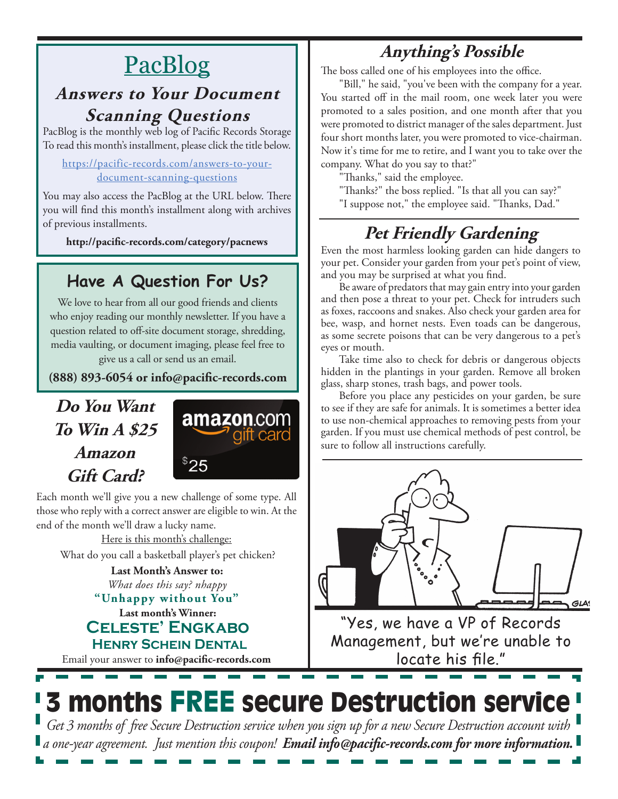# **PacBlog**

## **Answers to Your Document Scanning Questions**

PacBlog is the monthly web log of Pacific Records Storage To read this month's installment, please click the title below.

#### [https://pacific-records.com/answers-to-your](https://pacific-records.com/answers-to-your-document-scanning-questions)[document-scanning-questions](https://pacific-records.com/answers-to-your-document-scanning-questions)

You may also access the PacBlog at the URL below. There you will find this month's installment along with archives of previous installments.

**http://pacific-records.com/category/pacnews**

## **Have A Question For Us?**

We love to hear from all our good friends and clients who enjoy reading our monthly newsletter. If you have a question related to off-site document storage, shredding, media vaulting, or document imaging, please feel free to give us a call or send us an email.

**(888) 893-6054 or info@pacific-records.com**

## **Do You Want To Win A \$25 Amazon Gift Card?**



Each month we'll give you a new challenge of some type. All those who reply with a correct answer are eligible to win. At the end of the month we'll draw a lucky name.

Here is this month's challenge: What do you call a basketball player's pet chicken?

**Last month's Winner: Celeste' Engkabo "Unhappy without You" Last Month's Answer to:**  *What does this say? nhappy*

 **Henry Schein Dental**

Email your answer to **info@pacific-records.com**

# **Anything's Possible**

The boss called one of his employees into the office.

"Bill," he said, "you've been with the company for a year. You started off in the mail room, one week later you were promoted to a sales position, and one month after that you were promoted to district manager of the sales department. Just four short months later, you were promoted to vice-chairman. Now it's time for me to retire, and I want you to take over the company. What do you say to that?"

"Thanks," said the employee.

"Thanks?" the boss replied. "Is that all you can say?"

"I suppose not," the employee said. "Thanks, Dad."

# **Pet Friendly Gardening**

Even the most harmless looking garden can hide dangers to your pet. Consider your garden from your pet's point of view, and you may be surprised at what you find.

Be aware of predators that may gain entry into your garden and then pose a threat to your pet. Check for intruders such as foxes, raccoons and snakes. Also check your garden area for bee, wasp, and hornet nests. Even toads can be dangerous, as some secrete poisons that can be very dangerous to a pet's eyes or mouth.

Take time also to check for debris or dangerous objects hidden in the plantings in your garden. Remove all broken glass, sharp stones, trash bags, and power tools.

Before you place any pesticides on your garden, be sure to see if they are safe for animals. It is sometimes a better idea to use non-chemical approaches to removing pests from your garden. If you must use chemical methods of pest control, be sure to follow all instructions carefully.



"Yes, we have a VP of Records Management, but we're unable to locate his file."

# 3 months FREE secure Destruction service

*Get 3 months of free Secure Destruction service when you sign up for a new Secure Destruction account with a one-year agreement. Just mention this coupon! Email info@pacific-records.com for more information.*